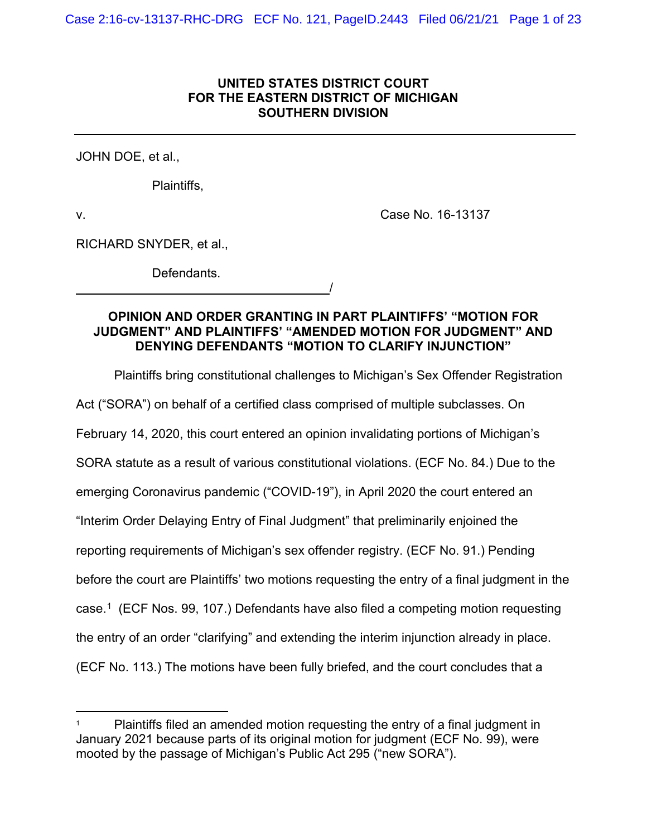# **UNITED STATES DISTRICT COURT FOR THE EASTERN DISTRICT OF MICHIGAN SOUTHERN DIVISION**

JOHN DOE, et al.,

Plaintiffs,

v. Case No. 16-13137

RICHARD SNYDER, et al.,

Defendants.

<u>/</u>

# **OPINION AND ORDER GRANTING IN PART PLAINTIFFS' "MOTION FOR JUDGMENT" AND PLAINTIFFS' "AMENDED MOTION FOR JUDGMENT" AND DENYING DEFENDANTS "MOTION TO CLARIFY INJUNCTION"**

Plaintiffs bring constitutional challenges to Michigan's Sex Offender Registration Act ("SORA") on behalf of a certified class comprised of multiple subclasses. On February 14, 2020, this court entered an opinion invalidating portions of Michigan's SORA statute as a result of various constitutional violations. (ECF No. 84.) Due to the emerging Coronavirus pandemic ("COVID-19"), in April 2020 the court entered an "Interim Order Delaying Entry of Final Judgment" that preliminarily enjoined the reporting requirements of Michigan's sex offender registry. (ECF No. 91.) Pending before the court are Plaintiffs' two motions requesting the entry of a final judgment in the case. [1](#page-0-0) (ECF Nos. 99, 107.) Defendants have also filed a competing motion requesting the entry of an order "clarifying" and extending the interim injunction already in place. (ECF No. 113.) The motions have been fully briefed, and the court concludes that a

<span id="page-0-0"></span>Plaintiffs filed an amended motion requesting the entry of a final judgment in January 2021 because parts of its original motion for judgment (ECF No. 99), were mooted by the passage of Michigan's Public Act 295 ("new SORA").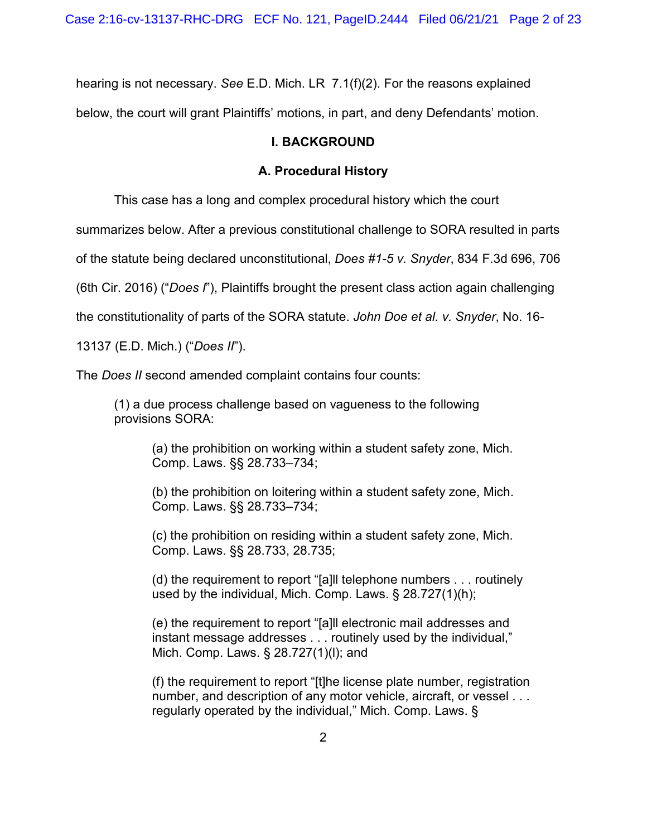hearing is not necessary. *See* E.D. Mich. LR 7.1(f)(2). For the reasons explained below, the court will grant Plaintiffs' motions, in part, and deny Defendants' motion.

### **I. BACKGROUND**

### **A. Procedural History**

This case has a long and complex procedural history which the court

summarizes below. After a previous constitutional challenge to SORA resulted in parts

of the statute being declared unconstitutional, *Does #1-5 v. Snyder*, 834 F.3d 696, 706

(6th Cir. 2016) ("*Does I*"), Plaintiffs brought the present class action again challenging

the constitutionality of parts of the SORA statute. *John Doe et al. v. Snyder*, No. 16-

13137 (E.D. Mich.) ("*Does II*").

The *Does II* second amended complaint contains four counts:

(1) a due process challenge based on vagueness to the following provisions SORA:

> (a) the prohibition on working within a student safety zone, Mich. Comp. Laws. §§ 28.733–734;

> (b) the prohibition on loitering within a student safety zone, Mich. Comp. Laws. §§ 28.733–734;

> (c) the prohibition on residing within a student safety zone, Mich. Comp. Laws. §§ 28.733, 28.735;

(d) the requirement to report "[a]ll telephone numbers . . . routinely used by the individual, Mich. Comp. Laws. § 28.727(1)(h);

(e) the requirement to report "[a]ll electronic mail addresses and instant message addresses . . . routinely used by the individual," Mich. Comp. Laws. § 28.727(1)(l); and

(f) the requirement to report "[t]he license plate number, registration number, and description of any motor vehicle, aircraft, or vessel . . . regularly operated by the individual," Mich. Comp. Laws. §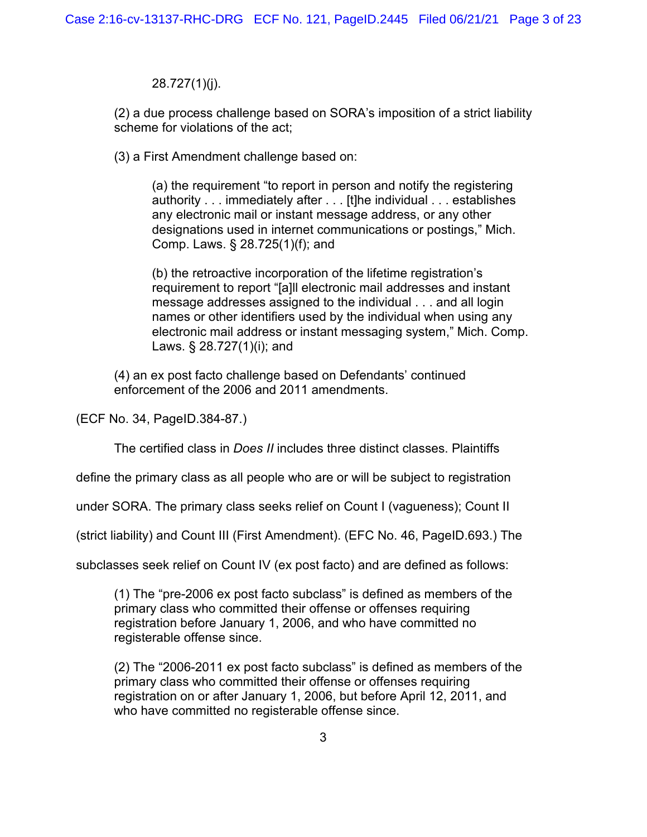28.727(1)(j).

(2) a due process challenge based on SORA's imposition of a strict liability scheme for violations of the act;

(3) a First Amendment challenge based on:

(a) the requirement "to report in person and notify the registering authority . . . immediately after . . . [t]he individual . . . establishes any electronic mail or instant message address, or any other designations used in internet communications or postings," Mich. Comp. Laws. § 28.725(1)(f); and

(b) the retroactive incorporation of the lifetime registration's requirement to report "[a]ll electronic mail addresses and instant message addresses assigned to the individual . . . and all login names or other identifiers used by the individual when using any electronic mail address or instant messaging system," Mich. Comp. Laws. § 28.727(1)(i); and

(4) an ex post facto challenge based on Defendants' continued enforcement of the 2006 and 2011 amendments.

(ECF No. 34, PageID.384-87.)

The certified class in *Does II* includes three distinct classes. Plaintiffs

define the primary class as all people who are or will be subject to registration

under SORA. The primary class seeks relief on Count I (vagueness); Count II

(strict liability) and Count III (First Amendment). (EFC No. 46, PageID.693.) The

subclasses seek relief on Count IV (ex post facto) and are defined as follows:

(1) The "pre-2006 ex post facto subclass" is defined as members of the primary class who committed their offense or offenses requiring registration before January 1, 2006, and who have committed no registerable offense since.

(2) The "2006-2011 ex post facto subclass" is defined as members of the primary class who committed their offense or offenses requiring registration on or after January 1, 2006, but before April 12, 2011, and who have committed no registerable offense since.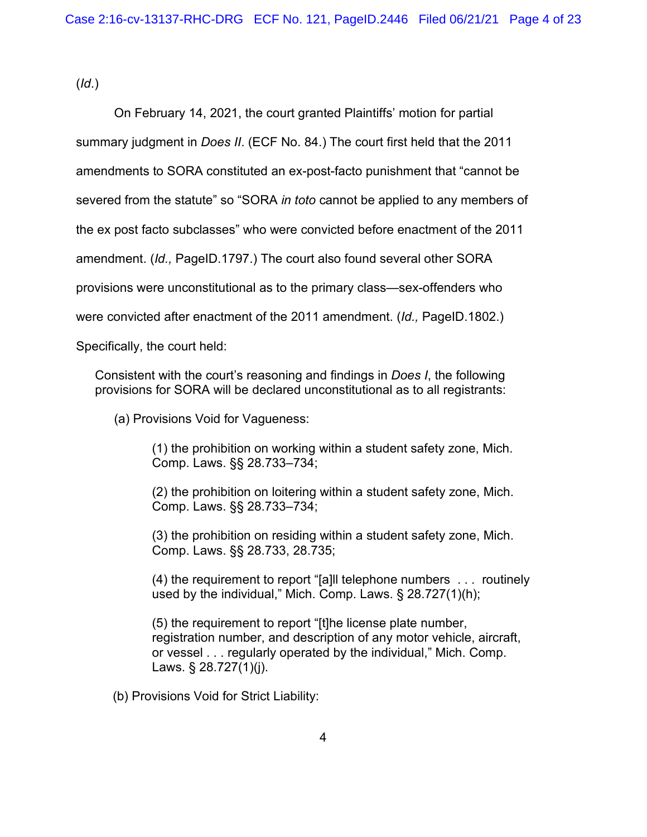(*Id*.)

On February 14, 2021, the court granted Plaintiffs' motion for partial summary judgment in *Does II*. (ECF No. 84.) The court first held that the 2011 amendments to SORA constituted an ex-post-facto punishment that "cannot be severed from the statute" so "SORA *in toto* cannot be applied to any members of the ex post facto subclasses" who were convicted before enactment of the 2011 amendment. (*Id.,* PageID.1797.) The court also found several other SORA provisions were unconstitutional as to the primary class—sex-offenders who were convicted after enactment of the 2011 amendment. (*Id.,* PageID.1802.)

Specifically, the court held:

Consistent with the court's reasoning and findings in *Does I*, the following provisions for SORA will be declared unconstitutional as to all registrants:

(a) Provisions Void for Vagueness:

(1) the prohibition on working within a student safety zone, Mich. Comp. Laws. §§ 28.733–734;

(2) the prohibition on loitering within a student safety zone, Mich. Comp. Laws. §§ 28.733–734;

(3) the prohibition on residing within a student safety zone, Mich. Comp. Laws. §§ 28.733, 28.735;

(4) the requirement to report "[a]ll telephone numbers . . . routinely used by the individual," Mich. Comp. Laws. § 28.727(1)(h);

(5) the requirement to report "[t]he license plate number, registration number, and description of any motor vehicle, aircraft, or vessel . . . regularly operated by the individual," Mich. Comp. Laws. § 28.727(1)(j).

(b) Provisions Void for Strict Liability: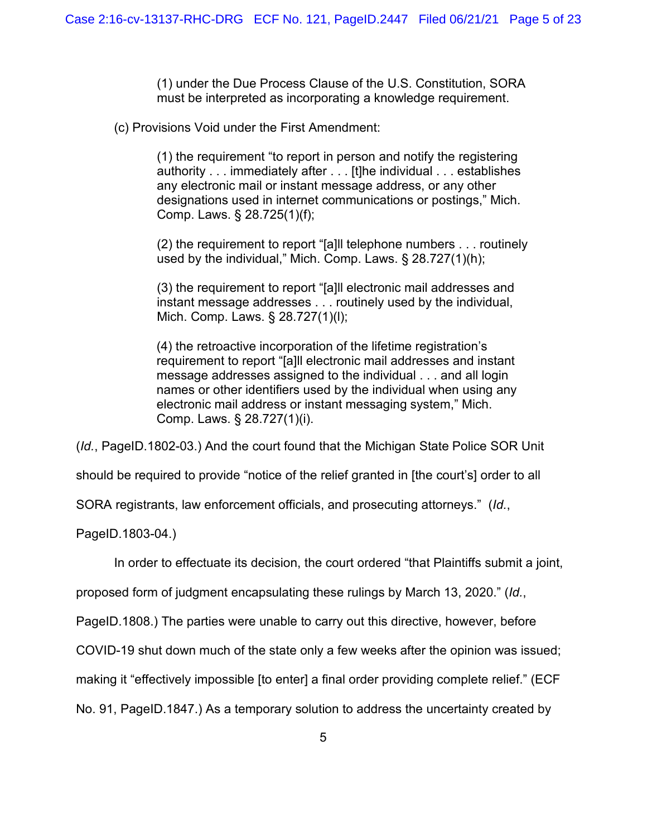(1) under the Due Process Clause of the U.S. Constitution, SORA must be interpreted as incorporating a knowledge requirement.

(c) Provisions Void under the First Amendment:

(1) the requirement "to report in person and notify the registering authority . . . immediately after . . . [t]he individual . . . establishes any electronic mail or instant message address, or any other designations used in internet communications or postings," Mich. Comp. Laws. § 28.725(1)(f);

(2) the requirement to report "[a]ll telephone numbers . . . routinely used by the individual," Mich. Comp. Laws. § 28.727(1)(h);

(3) the requirement to report "[a]ll electronic mail addresses and instant message addresses . . . routinely used by the individual, Mich. Comp. Laws. § 28.727(1)(l);

(4) the retroactive incorporation of the lifetime registration's requirement to report "[a]ll electronic mail addresses and instant message addresses assigned to the individual . . . and all login names or other identifiers used by the individual when using any electronic mail address or instant messaging system," Mich. Comp. Laws. § 28.727(1)(i).

(*Id.*, PageID.1802-03.) And the court found that the Michigan State Police SOR Unit

should be required to provide "notice of the relief granted in [the court's] order to all

SORA registrants, law enforcement officials, and prosecuting attorneys." (*Id.*,

PageID.1803-04.)

In order to effectuate its decision, the court ordered "that Plaintiffs submit a joint,

proposed form of judgment encapsulating these rulings by March 13, 2020." (*Id.*,

PageID.1808.) The parties were unable to carry out this directive, however, before

COVID-19 shut down much of the state only a few weeks after the opinion was issued;

making it "effectively impossible [to enter] a final order providing complete relief." (ECF

No. 91, PageID.1847.) As a temporary solution to address the uncertainty created by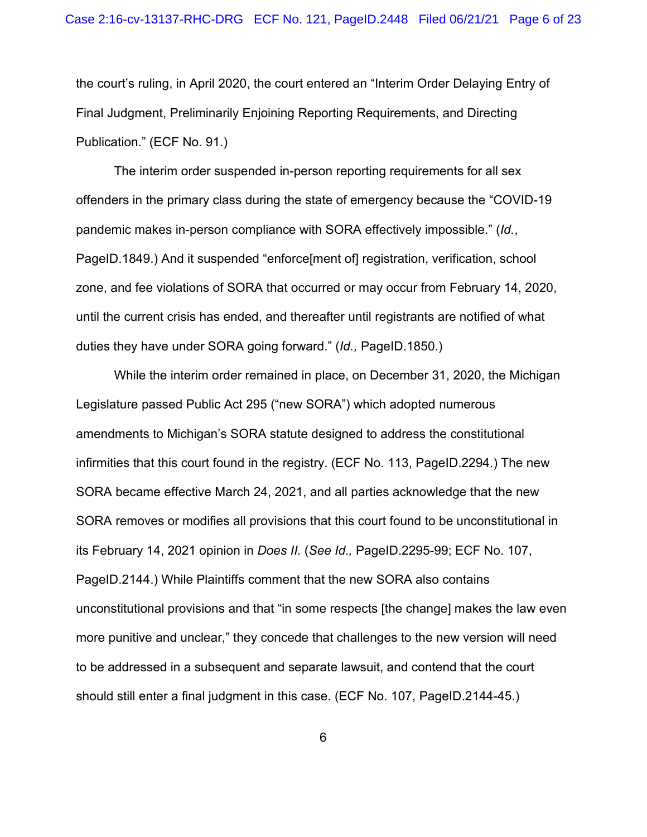the court's ruling, in April 2020, the court entered an "Interim Order Delaying Entry of Final Judgment, Preliminarily Enjoining Reporting Requirements, and Directing Publication." (ECF No. 91.)

The interim order suspended in-person reporting requirements for all sex offenders in the primary class during the state of emergency because the "COVID-19 pandemic makes in-person compliance with SORA effectively impossible." (*Id.*, PageID.1849.) And it suspended "enforce[ment of] registration, verification, school zone, and fee violations of SORA that occurred or may occur from February 14, 2020, until the current crisis has ended, and thereafter until registrants are notified of what duties they have under SORA going forward." (*Id.,* PageID.1850.)

While the interim order remained in place, on December 31, 2020, the Michigan Legislature passed Public Act 295 ("new SORA") which adopted numerous amendments to Michigan's SORA statute designed to address the constitutional infirmities that this court found in the registry. (ECF No. 113, PageID.2294.) The new SORA became effective March 24, 2021, and all parties acknowledge that the new SORA removes or modifies all provisions that this court found to be unconstitutional in its February 14, 2021 opinion in *Does II.* (*See Id.,* PageID.2295-99; ECF No. 107, PageID.2144.) While Plaintiffs comment that the new SORA also contains unconstitutional provisions and that "in some respects [the change] makes the law even more punitive and unclear," they concede that challenges to the new version will need to be addressed in a subsequent and separate lawsuit, and contend that the court should still enter a final judgment in this case. (ECF No. 107, PageID.2144-45.)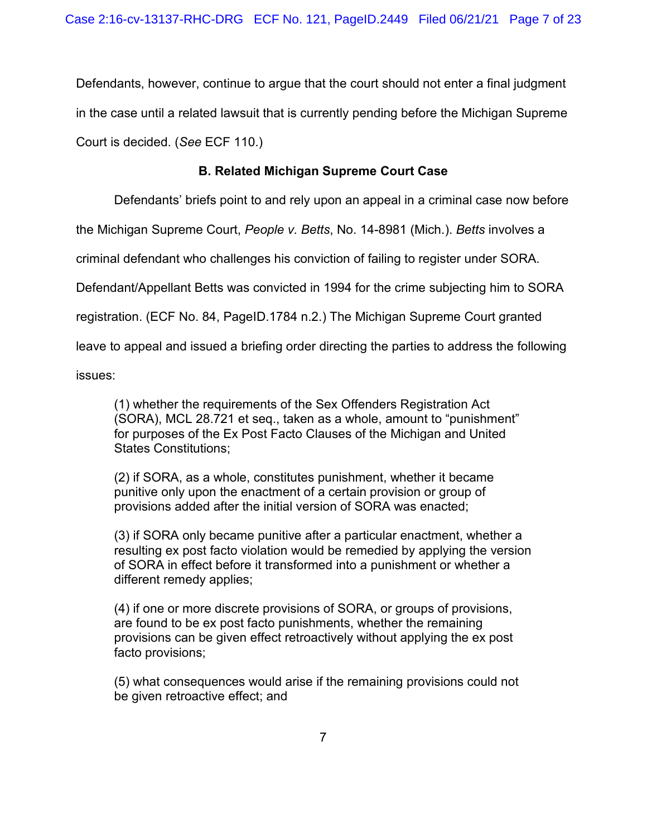Defendants, however, continue to argue that the court should not enter a final judgment in the case until a related lawsuit that is currently pending before the Michigan Supreme Court is decided. (*See* ECF 110.)

# **B. Related Michigan Supreme Court Case**

Defendants' briefs point to and rely upon an appeal in a criminal case now before

the Michigan Supreme Court, *People v. Betts*, No. 14-8981 (Mich.). *Betts* involves a

criminal defendant who challenges his conviction of failing to register under SORA.

Defendant/Appellant Betts was convicted in 1994 for the crime subjecting him to SORA

registration. (ECF No. 84, PageID.1784 n.2.) The Michigan Supreme Court granted

leave to appeal and issued a briefing order directing the parties to address the following

issues:

(1) whether the requirements of the Sex Offenders Registration Act (SORA), MCL 28.721 et seq., taken as a whole, amount to "punishment" for purposes of the Ex Post Facto Clauses of the Michigan and United States Constitutions;

(2) if SORA, as a whole, constitutes punishment, whether it became punitive only upon the enactment of a certain provision or group of provisions added after the initial version of SORA was enacted;

(3) if SORA only became punitive after a particular enactment, whether a resulting ex post facto violation would be remedied by applying the version of SORA in effect before it transformed into a punishment or whether a different remedy applies;

(4) if one or more discrete provisions of SORA, or groups of provisions, are found to be ex post facto punishments, whether the remaining provisions can be given effect retroactively without applying the ex post facto provisions;

(5) what consequences would arise if the remaining provisions could not be given retroactive effect; and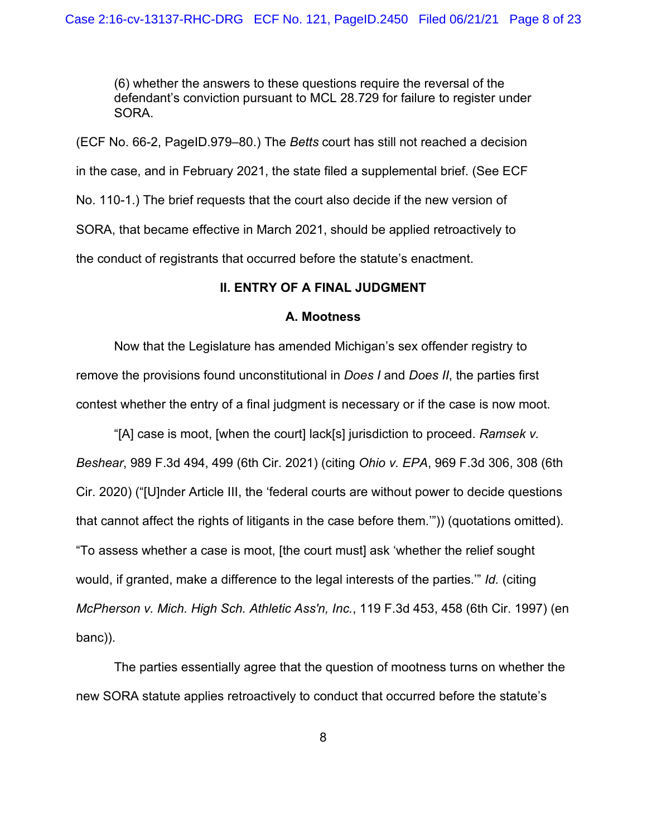(6) whether the answers to these questions require the reversal of the defendant's conviction pursuant to MCL 28.729 for failure to register under SORA.

(ECF No. 66-2, PageID.979–80.) The *Betts* court has still not reached a decision in the case, and in February 2021, the state filed a supplemental brief. (See ECF No. 110-1.) The brief requests that the court also decide if the new version of SORA, that became effective in March 2021, should be applied retroactively to the conduct of registrants that occurred before the statute's enactment.

#### **II. ENTRY OF A FINAL JUDGMENT**

#### **A. Mootness**

Now that the Legislature has amended Michigan's sex offender registry to remove the provisions found unconstitutional in *Does I* and *Does II*, the parties first contest whether the entry of a final judgment is necessary or if the case is now moot.

"[A] case is moot, [when the court] lack[s] jurisdiction to proceed. *Ramsek v. Beshear*, 989 F.3d 494, 499 (6th Cir. 2021) (citing *Ohio v. EPA*, 969 F.3d 306, 308 (6th Cir. 2020) ("[U]nder Article III, the 'federal courts are without power to decide questions that cannot affect the rights of litigants in the case before them.'")) (quotations omitted). "To assess whether a case is moot, [the court must] ask 'whether the relief sought would, if granted, make a difference to the legal interests of the parties.'" *Id.* (citing *McPherson v. Mich. High Sch. Athletic Ass'n, Inc.*, 119 F.3d 453, 458 (6th Cir. 1997) (en banc)).

The parties essentially agree that the question of mootness turns on whether the new SORA statute applies retroactively to conduct that occurred before the statute's

8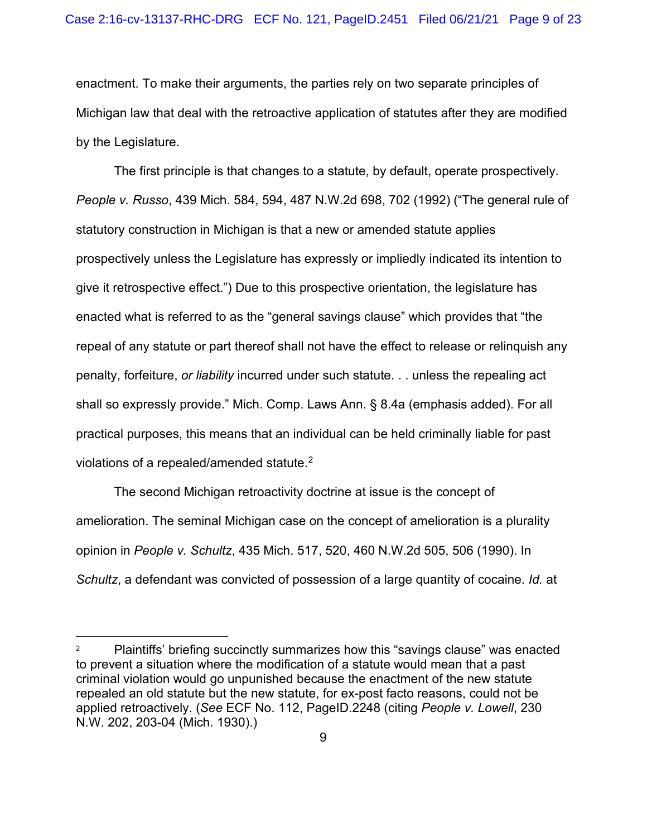enactment. To make their arguments, the parties rely on two separate principles of Michigan law that deal with the retroactive application of statutes after they are modified by the Legislature.

The first principle is that changes to a statute, by default, operate prospectively. *People v. Russo*, 439 Mich. 584, 594, 487 N.W.2d 698, 702 (1992) ("The general rule of statutory construction in Michigan is that a new or amended statute applies prospectively unless the Legislature has expressly or impliedly indicated its intention to give it retrospective effect.") Due to this prospective orientation, the legislature has enacted what is referred to as the "general savings clause" which provides that "the repeal of any statute or part thereof shall not have the effect to release or relinquish any penalty, forfeiture, *or liability* incurred under such statute. . . unless the repealing act shall so expressly provide." Mich. Comp. Laws Ann. § 8.4a (emphasis added). For all practical purposes, this means that an individual can be held criminally liable for past violations of a repealed/amended statute. $^{\mathsf{2}}$  $^{\mathsf{2}}$  $^{\mathsf{2}}$ 

The second Michigan retroactivity doctrine at issue is the concept of amelioration. The seminal Michigan case on the concept of amelioration is a plurality opinion in *People v. Schultz*, 435 Mich. 517, 520, 460 N.W.2d 505, 506 (1990). In *Schultz*, a defendant was convicted of possession of a large quantity of cocaine. *Id.* at

<span id="page-8-0"></span><sup>2</sup> Plaintiffs' briefing succinctly summarizes how this "savings clause" was enacted to prevent a situation where the modification of a statute would mean that a past criminal violation would go unpunished because the enactment of the new statute repealed an old statute but the new statute, for ex-post facto reasons, could not be applied retroactively. (*See* ECF No. 112, PageID.2248 (citing *People v. Lowell*, 230 N.W. 202, 203-04 (Mich. 1930).)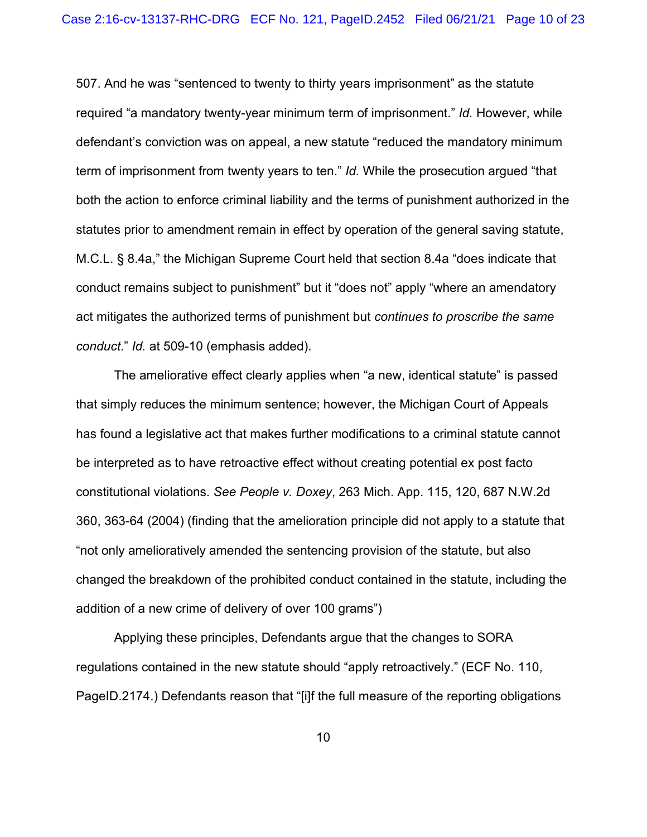507. And he was "sentenced to twenty to thirty years imprisonment" as the statute required "a mandatory twenty-year minimum term of imprisonment." *Id.* However, while defendant's conviction was on appeal, a new statute "reduced the mandatory minimum term of imprisonment from twenty years to ten." *Id.* While the prosecution argued "that both the action to enforce criminal liability and the terms of punishment authorized in the statutes prior to amendment remain in effect by operation of the general saving statute, M.C.L. § 8.4a," the Michigan Supreme Court held that section 8.4a "does indicate that conduct remains subject to punishment" but it "does not" apply "where an amendatory act mitigates the authorized terms of punishment but *continues to proscribe the same conduct*." *Id.* at 509-10 (emphasis added).

The ameliorative effect clearly applies when "a new, identical statute" is passed that simply reduces the minimum sentence; however, the Michigan Court of Appeals has found a legislative act that makes further modifications to a criminal statute cannot be interpreted as to have retroactive effect without creating potential ex post facto constitutional violations. *See People v. Doxey*, 263 Mich. App. 115, 120, 687 N.W.2d 360, 363-64 (2004) (finding that the amelioration principle did not apply to a statute that "not only amelioratively amended the sentencing provision of the statute, but also changed the breakdown of the prohibited conduct contained in the statute, including the addition of a new crime of delivery of over 100 grams")

Applying these principles, Defendants argue that the changes to SORA regulations contained in the new statute should "apply retroactively." (ECF No. 110, PageID.2174.) Defendants reason that "[i]f the full measure of the reporting obligations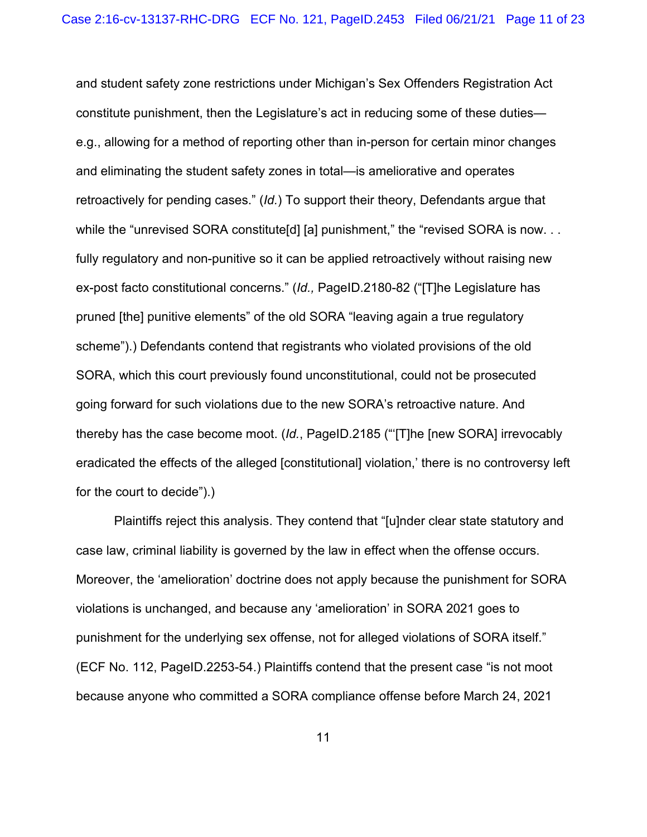and student safety zone restrictions under Michigan's Sex Offenders Registration Act constitute punishment, then the Legislature's act in reducing some of these duties e.g., allowing for a method of reporting other than in-person for certain minor changes and eliminating the student safety zones in total—is ameliorative and operates retroactively for pending cases." (*Id.*) To support their theory, Defendants argue that while the "unrevised SORA constitute[d] [a] punishment," the "revised SORA is now. . . fully regulatory and non-punitive so it can be applied retroactively without raising new ex-post facto constitutional concerns." (*Id.,* PageID.2180-82 ("[T]he Legislature has pruned [the] punitive elements" of the old SORA "leaving again a true regulatory scheme").) Defendants contend that registrants who violated provisions of the old SORA, which this court previously found unconstitutional, could not be prosecuted going forward for such violations due to the new SORA's retroactive nature. And thereby has the case become moot. (*Id.*, PageID.2185 ("'[T]he [new SORA] irrevocably eradicated the effects of the alleged [constitutional] violation,' there is no controversy left for the court to decide").)

Plaintiffs reject this analysis. They contend that "[u]nder clear state statutory and case law, criminal liability is governed by the law in effect when the offense occurs. Moreover, the 'amelioration' doctrine does not apply because the punishment for SORA violations is unchanged, and because any 'amelioration' in SORA 2021 goes to punishment for the underlying sex offense, not for alleged violations of SORA itself." (ECF No. 112, PageID.2253-54.) Plaintiffs contend that the present case "is not moot because anyone who committed a SORA compliance offense before March 24, 2021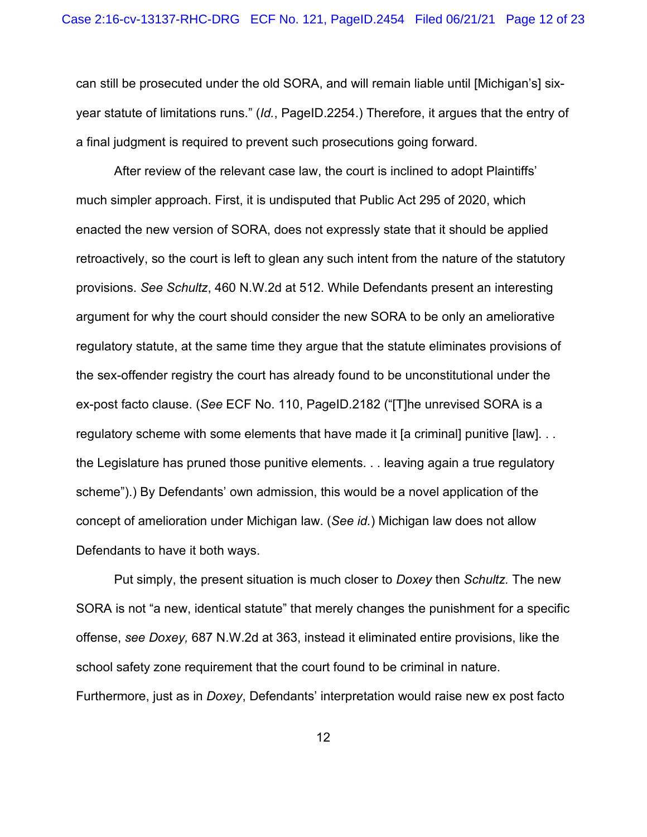can still be prosecuted under the old SORA, and will remain liable until [Michigan's] sixyear statute of limitations runs." (*Id.*, PageID.2254.) Therefore, it argues that the entry of a final judgment is required to prevent such prosecutions going forward.

After review of the relevant case law, the court is inclined to adopt Plaintiffs' much simpler approach. First, it is undisputed that Public Act 295 of 2020, which enacted the new version of SORA, does not expressly state that it should be applied retroactively, so the court is left to glean any such intent from the nature of the statutory provisions. *See Schultz*, 460 N.W.2d at 512. While Defendants present an interesting argument for why the court should consider the new SORA to be only an ameliorative regulatory statute, at the same time they argue that the statute eliminates provisions of the sex-offender registry the court has already found to be unconstitutional under the ex-post facto clause. (*See* ECF No. 110, PageID.2182 ("[T]he unrevised SORA is a regulatory scheme with some elements that have made it [a criminal] punitive [law]. . . the Legislature has pruned those punitive elements. . . leaving again a true regulatory scheme").) By Defendants' own admission, this would be a novel application of the concept of amelioration under Michigan law. (*See id.*) Michigan law does not allow Defendants to have it both ways.

Put simply, the present situation is much closer to *Doxey* then *Schultz.* The new SORA is not "a new, identical statute" that merely changes the punishment for a specific offense, *see Doxey,* 687 N.W.2d at 363, instead it eliminated entire provisions, like the school safety zone requirement that the court found to be criminal in nature. Furthermore, just as in *Doxey*, Defendants' interpretation would raise new ex post facto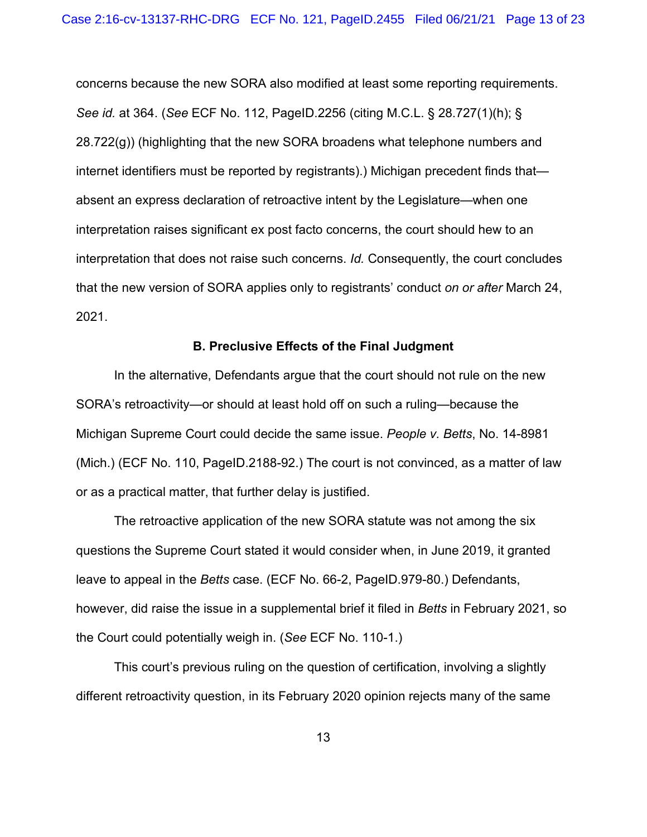concerns because the new SORA also modified at least some reporting requirements. *See id.* at 364. (*See* ECF No. 112, PageID.2256 (citing M.C.L. § 28.727(1)(h); § 28.722(g)) (highlighting that the new SORA broadens what telephone numbers and internet identifiers must be reported by registrants).) Michigan precedent finds that absent an express declaration of retroactive intent by the Legislature—when one interpretation raises significant ex post facto concerns, the court should hew to an interpretation that does not raise such concerns. *Id.* Consequently, the court concludes that the new version of SORA applies only to registrants' conduct *on or after* March 24, 2021.

#### **B. Preclusive Effects of the Final Judgment**

In the alternative, Defendants argue that the court should not rule on the new SORA's retroactivity—or should at least hold off on such a ruling—because the Michigan Supreme Court could decide the same issue. *People v. Betts*, No. 14-8981 (Mich.) (ECF No. 110, PageID.2188-92.) The court is not convinced, as a matter of law or as a practical matter, that further delay is justified.

The retroactive application of the new SORA statute was not among the six questions the Supreme Court stated it would consider when, in June 2019, it granted leave to appeal in the *Betts* case. (ECF No. 66-2, PageID.979-80.) Defendants, however, did raise the issue in a supplemental brief it filed in *Betts* in February 2021, so the Court could potentially weigh in. (*See* ECF No. 110-1.)

This court's previous ruling on the question of certification, involving a slightly different retroactivity question, in its February 2020 opinion rejects many of the same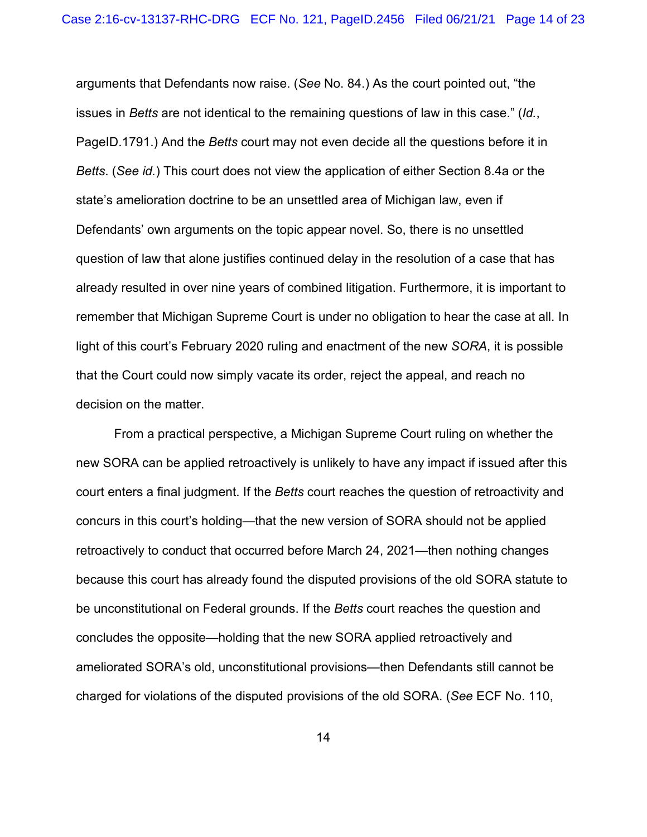arguments that Defendants now raise. (*See* No. 84.) As the court pointed out, "the issues in *Betts* are not identical to the remaining questions of law in this case." (*Id.*, PageID.1791.) And the *Betts* court may not even decide all the questions before it in *Betts*. (*See id.*) This court does not view the application of either Section 8.4a or the state's amelioration doctrine to be an unsettled area of Michigan law, even if Defendants' own arguments on the topic appear novel. So, there is no unsettled question of law that alone justifies continued delay in the resolution of a case that has already resulted in over nine years of combined litigation. Furthermore, it is important to remember that Michigan Supreme Court is under no obligation to hear the case at all. In light of this court's February 2020 ruling and enactment of the new *SORA*, it is possible that the Court could now simply vacate its order, reject the appeal, and reach no decision on the matter.

From a practical perspective, a Michigan Supreme Court ruling on whether the new SORA can be applied retroactively is unlikely to have any impact if issued after this court enters a final judgment. If the *Betts* court reaches the question of retroactivity and concurs in this court's holding—that the new version of SORA should not be applied retroactively to conduct that occurred before March 24, 2021—then nothing changes because this court has already found the disputed provisions of the old SORA statute to be unconstitutional on Federal grounds. If the *Betts* court reaches the question and concludes the opposite—holding that the new SORA applied retroactively and ameliorated SORA's old, unconstitutional provisions—then Defendants still cannot be charged for violations of the disputed provisions of the old SORA. (*See* ECF No. 110,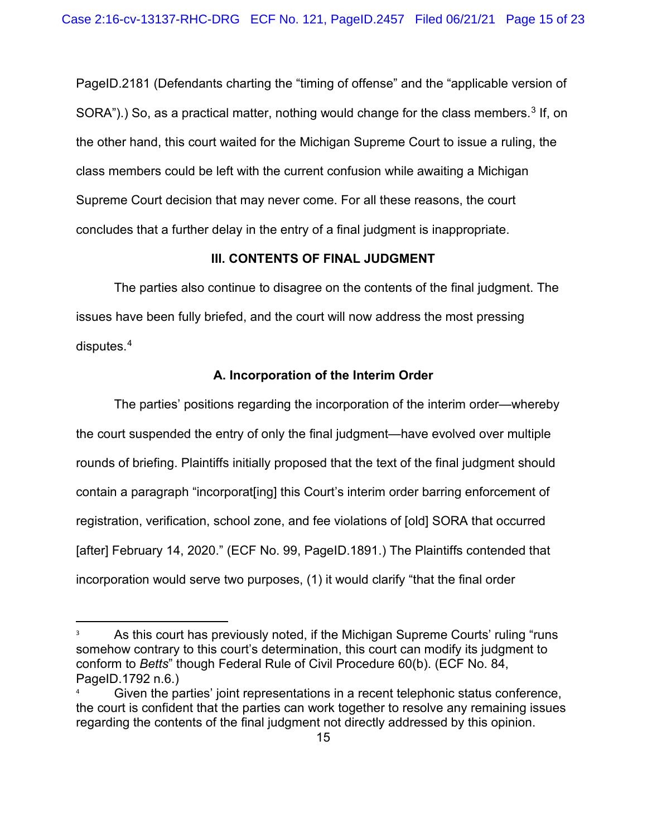PageID.2181 (Defendants charting the "timing of offense" and the "applicable version of  $SORA$ ").) So, as a practical matter, nothing would change for the class members.<sup>[3](#page-14-0)</sup> If, on the other hand, this court waited for the Michigan Supreme Court to issue a ruling, the class members could be left with the current confusion while awaiting a Michigan Supreme Court decision that may never come. For all these reasons, the court concludes that a further delay in the entry of a final judgment is inappropriate.

## **III. CONTENTS OF FINAL JUDGMENT**

The parties also continue to disagree on the contents of the final judgment. The issues have been fully briefed, and the court will now address the most pressing disputes.[4](#page-14-1)

## **A. Incorporation of the Interim Order**

The parties' positions regarding the incorporation of the interim order—whereby the court suspended the entry of only the final judgment—have evolved over multiple rounds of briefing. Plaintiffs initially proposed that the text of the final judgment should contain a paragraph "incorporat[ing] this Court's interim order barring enforcement of registration, verification, school zone, and fee violations of [old] SORA that occurred [after] February 14, 2020." (ECF No. 99, PageID.1891.) The Plaintiffs contended that incorporation would serve two purposes, (1) it would clarify "that the final order

<span id="page-14-0"></span><sup>&</sup>lt;sup>3</sup> As this court has previously noted, if the Michigan Supreme Courts' ruling "runs" somehow contrary to this court's determination, this court can modify its judgment to conform to *Betts*" though Federal Rule of Civil Procedure 60(b). (ECF No. 84, PageID.1792 n.6.)

<span id="page-14-1"></span>Given the parties' joint representations in a recent telephonic status conference, the court is confident that the parties can work together to resolve any remaining issues regarding the contents of the final judgment not directly addressed by this opinion.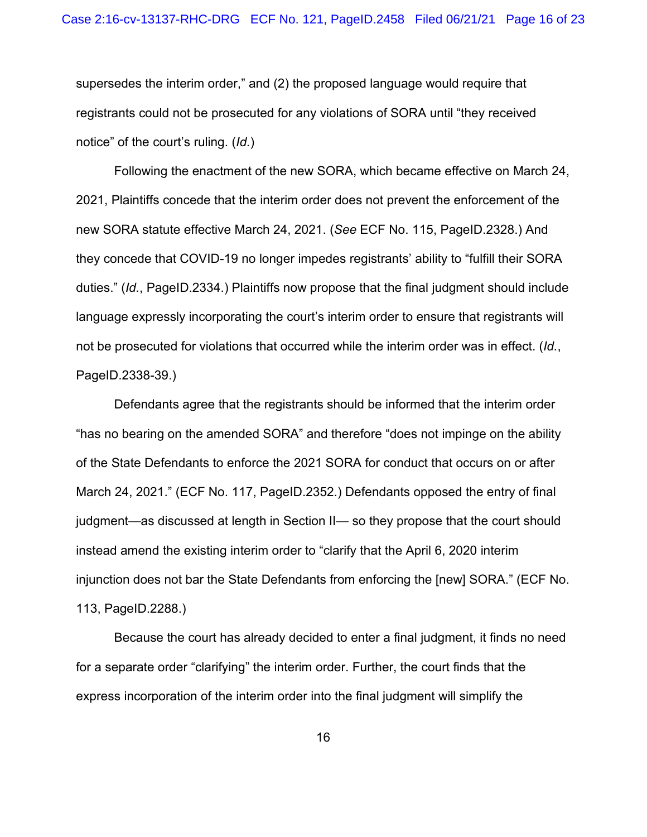supersedes the interim order," and (2) the proposed language would require that registrants could not be prosecuted for any violations of SORA until "they received notice" of the court's ruling. (*Id.*)

Following the enactment of the new SORA, which became effective on March 24, 2021, Plaintiffs concede that the interim order does not prevent the enforcement of the new SORA statute effective March 24, 2021. (*See* ECF No. 115, PageID.2328.) And they concede that COVID-19 no longer impedes registrants' ability to "fulfill their SORA duties." (*Id.*, PageID.2334.) Plaintiffs now propose that the final judgment should include language expressly incorporating the court's interim order to ensure that registrants will not be prosecuted for violations that occurred while the interim order was in effect. (*Id.*, PageID.2338-39.)

Defendants agree that the registrants should be informed that the interim order "has no bearing on the amended SORA" and therefore "does not impinge on the ability of the State Defendants to enforce the 2021 SORA for conduct that occurs on or after March 24, 2021." (ECF No. 117, PageID.2352.) Defendants opposed the entry of final judgment—as discussed at length in Section II— so they propose that the court should instead amend the existing interim order to "clarify that the April 6, 2020 interim injunction does not bar the State Defendants from enforcing the [new] SORA." (ECF No. 113, PageID.2288.)

Because the court has already decided to enter a final judgment, it finds no need for a separate order "clarifying" the interim order. Further, the court finds that the express incorporation of the interim order into the final judgment will simplify the

16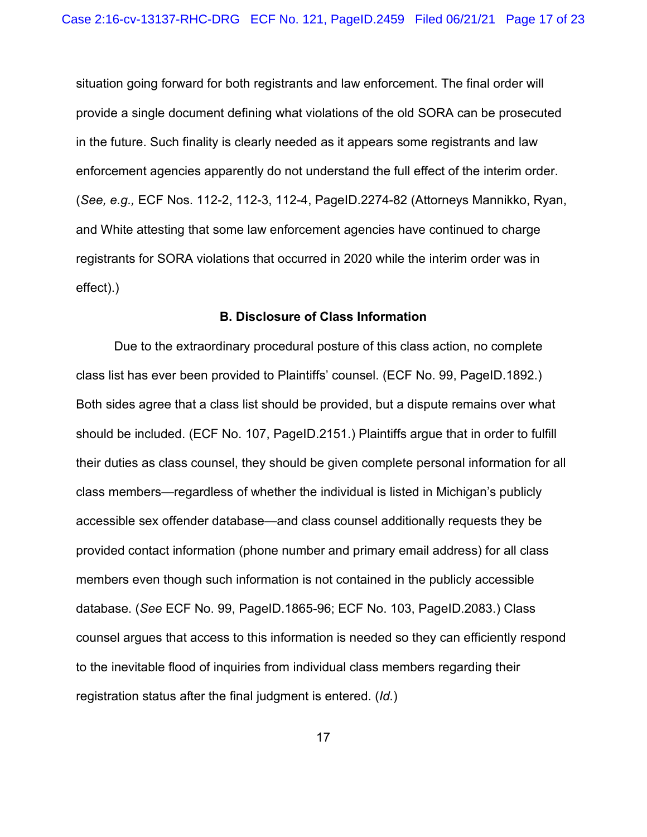situation going forward for both registrants and law enforcement. The final order will provide a single document defining what violations of the old SORA can be prosecuted in the future. Such finality is clearly needed as it appears some registrants and law enforcement agencies apparently do not understand the full effect of the interim order. (*See, e.g.,* ECF Nos. 112-2, 112-3, 112-4, PageID.2274-82 (Attorneys Mannikko, Ryan, and White attesting that some law enforcement agencies have continued to charge registrants for SORA violations that occurred in 2020 while the interim order was in effect).)

#### **B. Disclosure of Class Information**

Due to the extraordinary procedural posture of this class action, no complete class list has ever been provided to Plaintiffs' counsel. (ECF No. 99, PageID.1892.) Both sides agree that a class list should be provided, but a dispute remains over what should be included. (ECF No. 107, PageID.2151.) Plaintiffs argue that in order to fulfill their duties as class counsel, they should be given complete personal information for all class members—regardless of whether the individual is listed in Michigan's publicly accessible sex offender database—and class counsel additionally requests they be provided contact information (phone number and primary email address) for all class members even though such information is not contained in the publicly accessible database. (*See* ECF No. 99, PageID.1865-96; ECF No. 103, PageID.2083.) Class counsel argues that access to this information is needed so they can efficiently respond to the inevitable flood of inquiries from individual class members regarding their registration status after the final judgment is entered. (*Id.*)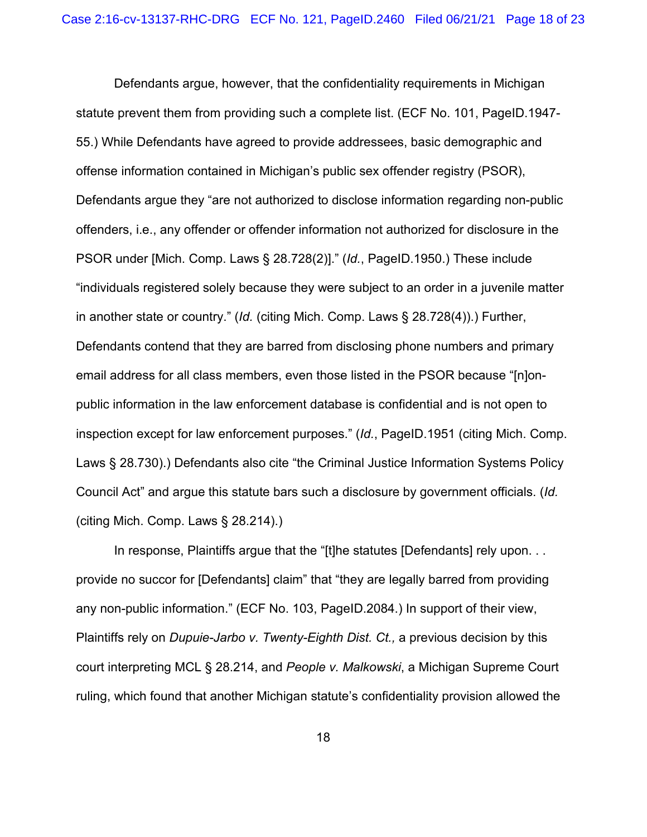Defendants argue, however, that the confidentiality requirements in Michigan statute prevent them from providing such a complete list. (ECF No. 101, PageID.1947- 55.) While Defendants have agreed to provide addressees, basic demographic and offense information contained in Michigan's public sex offender registry (PSOR), Defendants argue they "are not authorized to disclose information regarding non-public offenders, i.e., any offender or offender information not authorized for disclosure in the PSOR under [Mich. Comp. Laws § 28.728(2)]." (*Id.*, PageID.1950.) These include "individuals registered solely because they were subject to an order in a juvenile matter in another state or country." (*Id.* (citing Mich. Comp. Laws § 28.728(4)).) Further, Defendants contend that they are barred from disclosing phone numbers and primary email address for all class members, even those listed in the PSOR because "[n]onpublic information in the law enforcement database is confidential and is not open to inspection except for law enforcement purposes." (*Id.*, PageID.1951 (citing Mich. Comp. Laws § 28.730).) Defendants also cite "the Criminal Justice Information Systems Policy Council Act" and argue this statute bars such a disclosure by government officials. (*Id.*  (citing Mich. Comp. Laws § 28.214).)

In response, Plaintiffs argue that the "[t]he statutes [Defendants] rely upon. . . provide no succor for [Defendants] claim" that "they are legally barred from providing any non-public information." (ECF No. 103, PageID.2084.) In support of their view, Plaintiffs rely on *Dupuie-Jarbo v. Twenty-Eighth Dist. Ct.,* a previous decision by this court interpreting MCL § 28.214, and *People v. Malkowski*, a Michigan Supreme Court ruling, which found that another Michigan statute's confidentiality provision allowed the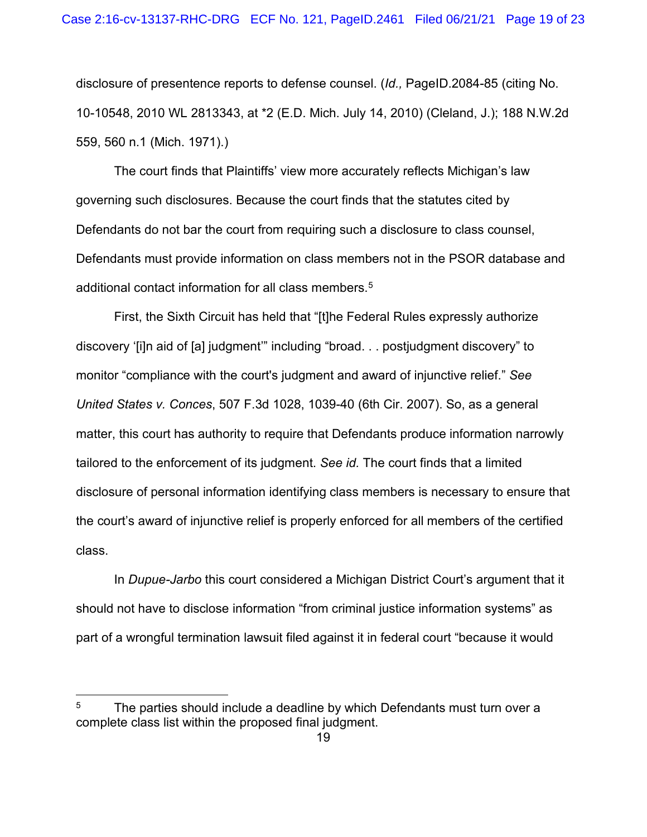disclosure of presentence reports to defense counsel. (*Id.,* PageID.2084-85 (citing No. 10-10548, 2010 WL 2813343, at \*2 (E.D. Mich. July 14, 2010) (Cleland, J.); 188 N.W.2d 559, 560 n.1 (Mich. 1971).)

The court finds that Plaintiffs' view more accurately reflects Michigan's law governing such disclosures. Because the court finds that the statutes cited by Defendants do not bar the court from requiring such a disclosure to class counsel, Defendants must provide information on class members not in the PSOR database and additional contact information for all class members.<sup>[5](#page-18-0)</sup>

First, the Sixth Circuit has held that "[t]he Federal Rules expressly authorize discovery '[i]n aid of [a] judgment'" including "broad. . . postjudgment discovery" to monitor "compliance with the court's judgment and award of injunctive relief." *See United States v. Conces*, 507 F.3d 1028, 1039-40 (6th Cir. 2007). So, as a general matter, this court has authority to require that Defendants produce information narrowly tailored to the enforcement of its judgment. *See id.* The court finds that a limited disclosure of personal information identifying class members is necessary to ensure that the court's award of injunctive relief is properly enforced for all members of the certified class.

In *Dupue-Jarbo* this court considered a Michigan District Court's argument that it should not have to disclose information "from criminal justice information systems" as part of a wrongful termination lawsuit filed against it in federal court "because it would

<span id="page-18-0"></span> $5$  The parties should include a deadline by which Defendants must turn over a complete class list within the proposed final judgment.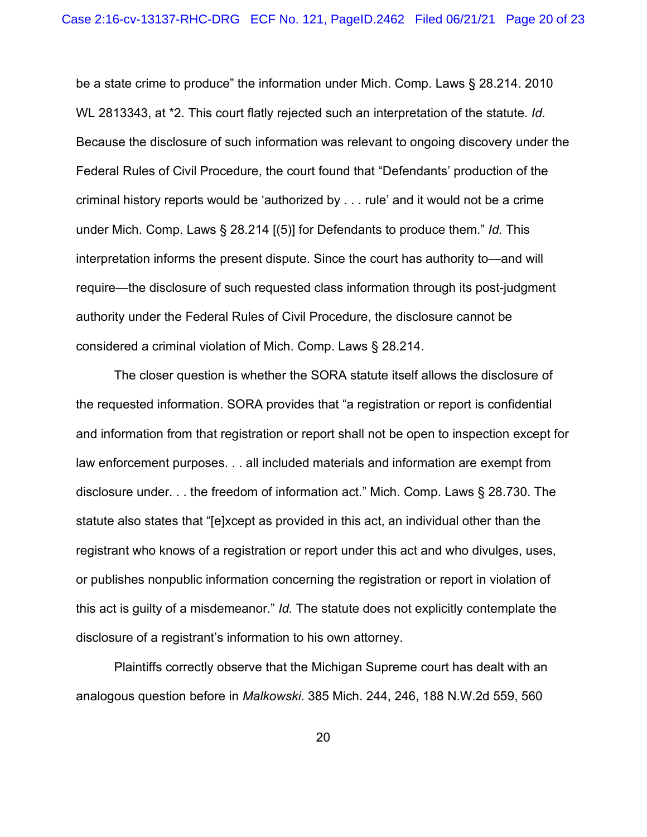be a state crime to produce" the information under Mich. Comp. Laws § 28.214. 2010 WL 2813343, at \*2. This court flatly rejected such an interpretation of the statute. *Id.* Because the disclosure of such information was relevant to ongoing discovery under the Federal Rules of Civil Procedure, the court found that "Defendants' production of the criminal history reports would be 'authorized by . . . rule' and it would not be a crime under Mich. Comp. Laws § 28.214 [(5)] for Defendants to produce them." *Id.* This interpretation informs the present dispute. Since the court has authority to—and will require—the disclosure of such requested class information through its post-judgment authority under the Federal Rules of Civil Procedure, the disclosure cannot be considered a criminal violation of Mich. Comp. Laws § 28.214.

The closer question is whether the SORA statute itself allows the disclosure of the requested information. SORA provides that "a registration or report is confidential and information from that registration or report shall not be open to inspection except for law enforcement purposes. . . all included materials and information are exempt from disclosure under. . . the freedom of information act." Mich. Comp. Laws § 28.730. The statute also states that "[e]xcept as provided in this act, an individual other than the registrant who knows of a registration or report under this act and who divulges, uses, or publishes nonpublic information concerning the registration or report in violation of this act is guilty of a misdemeanor." *Id.* The statute does not explicitly contemplate the disclosure of a registrant's information to his own attorney.

Plaintiffs correctly observe that the Michigan Supreme court has dealt with an analogous question before in *Malkowski*. 385 Mich. 244, 246, 188 N.W.2d 559, 560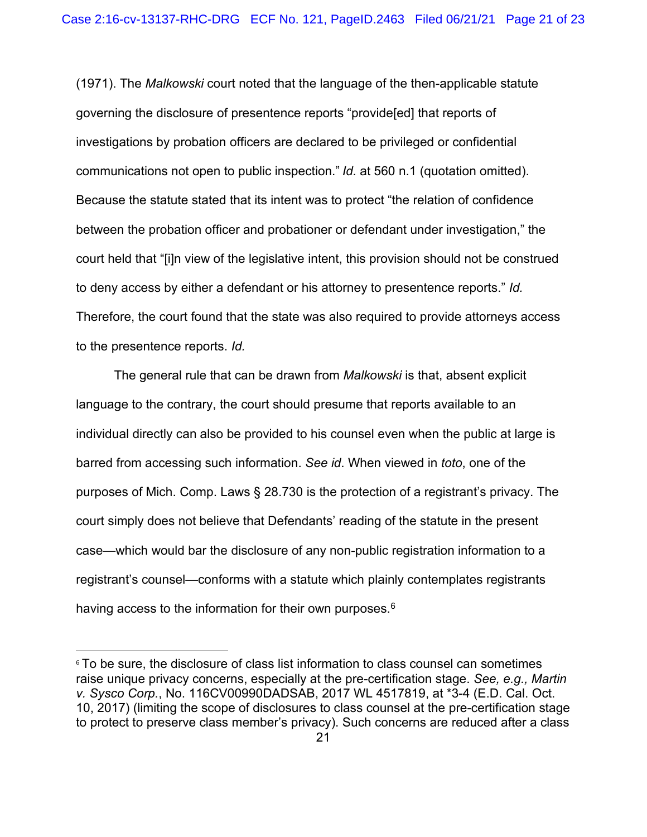(1971). The *Malkowski* court noted that the language of the then-applicable statute governing the disclosure of presentence reports "provide[ed] that reports of investigations by probation officers are declared to be privileged or confidential communications not open to public inspection." *Id.* at 560 n.1 (quotation omitted). Because the statute stated that its intent was to protect "the relation of confidence between the probation officer and probationer or defendant under investigation," the court held that "[i]n view of the legislative intent, this provision should not be construed to deny access by either a defendant or his attorney to presentence reports." *Id.*  Therefore, the court found that the state was also required to provide attorneys access to the presentence reports. *Id.*

The general rule that can be drawn from *Malkowski* is that, absent explicit language to the contrary, the court should presume that reports available to an individual directly can also be provided to his counsel even when the public at large is barred from accessing such information. *See id*. When viewed in *toto*, one of the purposes of Mich. Comp. Laws § 28.730 is the protection of a registrant's privacy. The court simply does not believe that Defendants' reading of the statute in the present case—which would bar the disclosure of any non-public registration information to a registrant's counsel—conforms with a statute which plainly contemplates registrants having access to the information for their own purposes.<sup>[6](#page-20-0)</sup>

<span id="page-20-0"></span><sup>&</sup>lt;sup>6</sup> To be sure, the disclosure of class list information to class counsel can sometimes raise unique privacy concerns, especially at the pre-certification stage. *See, e.g., Martin v. Sysco Corp.*, No. 116CV00990DADSAB, 2017 WL 4517819, at \*3-4 (E.D. Cal. Oct. 10, 2017) (limiting the scope of disclosures to class counsel at the pre-certification stage to protect to preserve class member's privacy). Such concerns are reduced after a class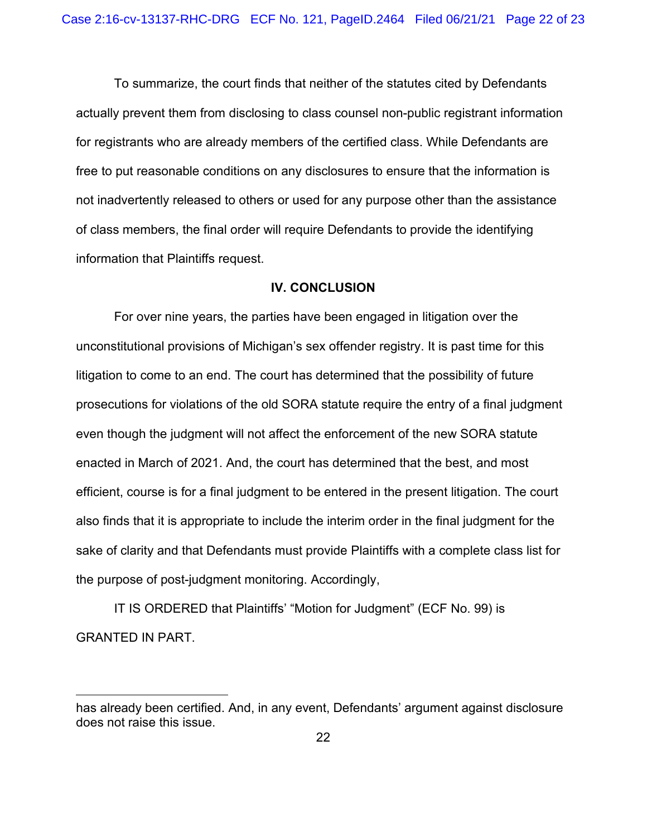To summarize, the court finds that neither of the statutes cited by Defendants actually prevent them from disclosing to class counsel non-public registrant information for registrants who are already members of the certified class. While Defendants are free to put reasonable conditions on any disclosures to ensure that the information is not inadvertently released to others or used for any purpose other than the assistance of class members, the final order will require Defendants to provide the identifying information that Plaintiffs request.

#### **IV. CONCLUSION**

For over nine years, the parties have been engaged in litigation over the unconstitutional provisions of Michigan's sex offender registry. It is past time for this litigation to come to an end. The court has determined that the possibility of future prosecutions for violations of the old SORA statute require the entry of a final judgment even though the judgment will not affect the enforcement of the new SORA statute enacted in March of 2021. And, the court has determined that the best, and most efficient, course is for a final judgment to be entered in the present litigation. The court also finds that it is appropriate to include the interim order in the final judgment for the sake of clarity and that Defendants must provide Plaintiffs with a complete class list for the purpose of post-judgment monitoring. Accordingly,

IT IS ORDERED that Plaintiffs' "Motion for Judgment" (ECF No. 99) is GRANTED IN PART.

has already been certified. And, in any event, Defendants' argument against disclosure does not raise this issue.